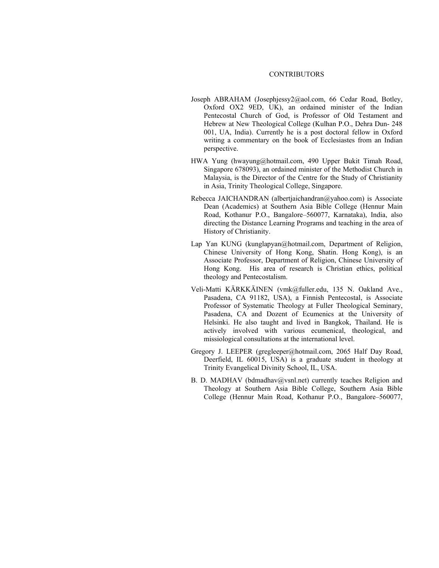## CONTRIBUTORS

- Joseph ABRAHAM (Josephjessy2@aol.com, 66 Cedar Road, Botley, Oxford OX2 9ED, UK), an ordained minister of the Indian Pentecostal Church of God, is Professor of Old Testament and Hebrew at New Theological College (Kulhan P.O., Dehra Dun- 248 001, UA, India). Currently he is a post doctoral fellow in Oxford writing a commentary on the book of Ecclesiastes from an Indian perspective.
- HWA Yung (hwayung@hotmail.com, 490 Upper Bukit Timah Road, Singapore 678093), an ordained minister of the Methodist Church in Malaysia, is the Director of the Centre for the Study of Christianity in Asia, Trinity Theological College, Singapore.
- Rebecca JAICHANDRAN (albertjaichandran@yahoo.com) is Associate Dean (Academics) at Southern Asia Bible College (Hennur Main Road, Kothanur P.O., Bangalore–560077, Karnataka), India, also directing the Distance Learning Programs and teaching in the area of History of Christianity.
- Lap Yan KUNG (kunglapyan@hotmail.com, Department of Religion, Chinese University of Hong Kong, Shatin. Hong Kong), is an Associate Professor, Department of Religion, Chinese University of Hong Kong. His area of research is Christian ethics, political theology and Pentecostalism.
- Veli-Matti KÄRKKÄINEN (vmk@fuller.edu, 135 N. Oakland Ave., Pasadena, CA 91182, USA), a Finnish Pentecostal, is Associate Professor of Systematic Theology at Fuller Theological Seminary, Pasadena, CA and Dozent of Ecumenics at the University of Helsinki. He also taught and lived in Bangkok, Thailand. He is actively involved with various ecumenical, theological, and missiological consultations at the international level.
- Gregory J. LEEPER (gregleeper@hotmail.com, 2065 Half Day Road, Deerfield, IL 60015, USA) is a graduate student in theology at Trinity Evangelical Divinity School, IL, USA.
- B. D. MADHAV (bdmadhav@vsnl.net) currently teaches Religion and Theology at Southern Asia Bible College, Southern Asia Bible College (Hennur Main Road, Kothanur P.O., Bangalore–560077,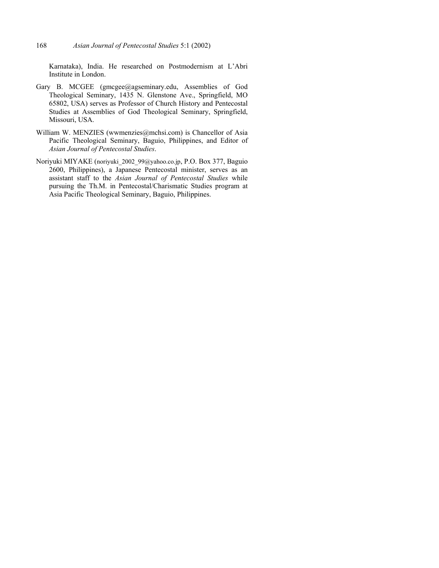Karnataka), India. He researched on Postmodernism at L'Abri Institute in London.

- Gary B. MCGEE (gmcgee@agseminary.edu, Assemblies of God Theological Seminary, 1435 N. Glenstone Ave., Springfield, MO 65802, USA) serves as Professor of Church History and Pentecostal Studies at Assemblies of God Theological Seminary, Springfield, Missouri, USA.
- William W. MENZIES (wwmenzies@mchsi.com) is Chancellor of Asia Pacific Theological Seminary, Baguio, Philippines, and Editor of *Asian Journal of Pentecostal Studies*.
- Noriyuki MIYAKE (noriyuki\_2002\_99@yahoo.co.jp, P.O. Box 377, Baguio 2600, Philippines), a Japanese Pentecostal minister, serves as an assistant staff to the *Asian Journal of Pentecostal Studies* while pursuing the Th.M. in Pentecostal/Charismatic Studies program at Asia Pacific Theological Seminary, Baguio, Philippines.